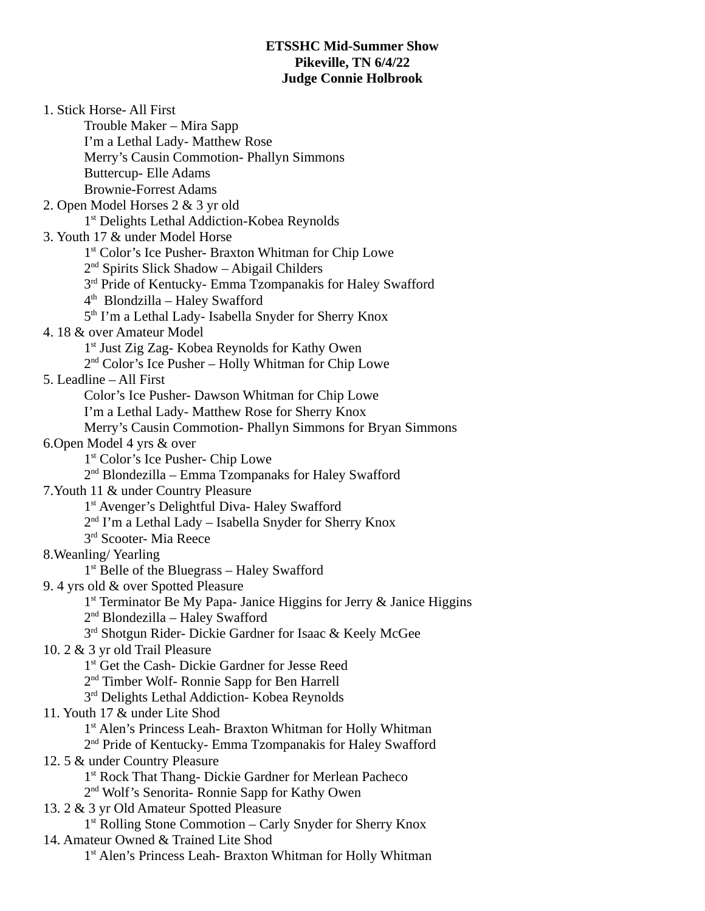## **ETSSHC Mid-Summer Show Pikeville, TN 6/4/22 Judge Connie Holbrook**

1. Stick Horse- All First Trouble Maker – Mira Sapp I'm a Lethal Lady- Matthew Rose Merry's Causin Commotion- Phallyn Simmons Buttercup- Elle Adams Brownie-Forrest Adams 2. Open Model Horses 2 & 3 yr old 1<sup>st</sup> Delights Lethal Addiction-Kobea Reynolds 3. Youth 17 & under Model Horse 1<sup>st</sup> Color's Ice Pusher- Braxton Whitman for Chip Lowe 2 nd Spirits Slick Shadow – Abigail Childers 3<sup>rd</sup> Pride of Kentucky- Emma Tzompanakis for Haley Swafford 4 th Blondzilla – Haley Swafford 5<sup>th</sup> I'm a Lethal Lady- Isabella Snyder for Sherry Knox 4. 18 & over Amateur Model 1<sup>st</sup> Just Zig Zag-Kobea Reynolds for Kathy Owen 2<sup>nd</sup> Color's Ice Pusher – Holly Whitman for Chip Lowe 5. Leadline – All First Color's Ice Pusher- Dawson Whitman for Chip Lowe I'm a Lethal Lady- Matthew Rose for Sherry Knox Merry's Causin Commotion- Phallyn Simmons for Bryan Simmons 6.Open Model 4 yrs & over 1<sup>st</sup> Color's Ice Pusher- Chip Lowe 2<sup>nd</sup> Blondezilla – Emma Tzompanaks for Haley Swafford 7.Youth 11 & under Country Pleasure 1<sup>st</sup> Avenger's Delightful Diva- Haley Swafford 2<sup>nd</sup> I'm a Lethal Lady – Isabella Snyder for Sherry Knox  $3<sup>rd</sup>$  Scooter- Mia Reece 8.Weanling/ Yearling 1<sup>st</sup> Belle of the Bluegrass - Haley Swafford 9. 4 yrs old & over Spotted Pleasure 1<sup>st</sup> Terminator Be My Papa- Janice Higgins for Jerry & Janice Higgins 2<sup>nd</sup> Blondezilla – Haley Swafford 3<sup>rd</sup> Shotgun Rider- Dickie Gardner for Isaac & Keely McGee 10. 2 & 3 yr old Trail Pleasure 1<sup>st</sup> Get the Cash- Dickie Gardner for Jesse Reed 2<sup>nd</sup> Timber Wolf- Ronnie Sapp for Ben Harrell 3<sup>rd</sup> Delights Lethal Addiction- Kobea Reynolds 11. Youth 17 & under Lite Shod 1<sup>st</sup> Alen's Princess Leah- Braxton Whitman for Holly Whitman 2<sup>nd</sup> Pride of Kentucky- Emma Tzompanakis for Haley Swafford 12. 5 & under Country Pleasure 1<sup>st</sup> Rock That Thang- Dickie Gardner for Merlean Pacheco 2<sup>nd</sup> Wolf's Senorita- Ronnie Sapp for Kathy Owen 13. 2 & 3 yr Old Amateur Spotted Pleasure 1<sup>st</sup> Rolling Stone Commotion - Carly Snyder for Sherry Knox 14. Amateur Owned & Trained Lite Shod

1<sup>st</sup> Alen's Princess Leah- Braxton Whitman for Holly Whitman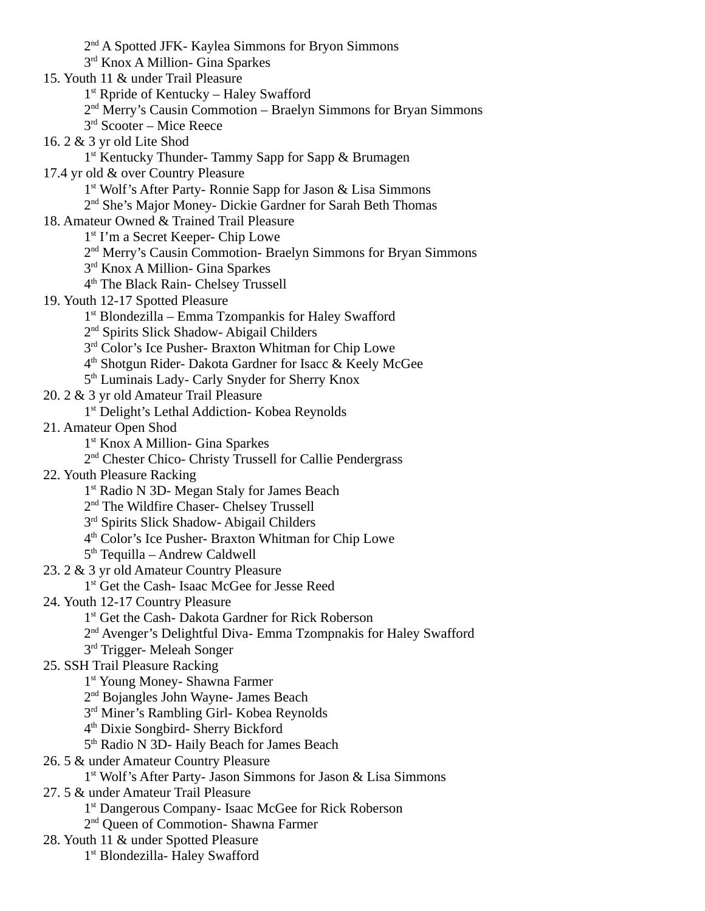2<sup>nd</sup> A Spotted JFK- Kaylea Simmons for Bryon Simmons 3<sup>rd</sup> Knox A Million- Gina Sparkes 15. Youth 11 & under Trail Pleasure 1<sup>st</sup> Rpride of Kentucky – Haley Swafford 2<sup>nd</sup> Merry's Causin Commotion – Braelyn Simmons for Bryan Simmons 3 rd Scooter – Mice Reece 16. 2 & 3 yr old Lite Shod 1<sup>st</sup> Kentucky Thunder- Tammy Sapp for Sapp & Brumagen 17.4 yr old & over Country Pleasure 1<sup>st</sup> Wolf's After Party- Ronnie Sapp for Jason & Lisa Simmons 2<sup>nd</sup> She's Major Money- Dickie Gardner for Sarah Beth Thomas 18. Amateur Owned & Trained Trail Pleasure 1<sup>st</sup> I'm a Secret Keeper- Chip Lowe 2<sup>nd</sup> Merry's Causin Commotion- Braelyn Simmons for Bryan Simmons 3<sup>rd</sup> Knox A Million- Gina Sparkes 4 th The Black Rain- Chelsey Trussell 19. Youth 12-17 Spotted Pleasure 1 st Blondezilla – Emma Tzompankis for Haley Swafford 2<sup>nd</sup> Spirits Slick Shadow- Abigail Childers 3<sup>rd</sup> Color's Ice Pusher- Braxton Whitman for Chip Lowe 4 th Shotgun Rider- Dakota Gardner for Isacc & Keely McGee 5<sup>th</sup> Luminais Lady- Carly Snyder for Sherry Knox 20. 2 & 3 yr old Amateur Trail Pleasure 1<sup>st</sup> Delight's Lethal Addiction- Kobea Reynolds 21. Amateur Open Shod 1 st Knox A Million- Gina Sparkes 2<sup>nd</sup> Chester Chico- Christy Trussell for Callie Pendergrass 22. Youth Pleasure Racking 1<sup>st</sup> Radio N 3D- Megan Staly for James Beach 2<sup>nd</sup> The Wildfire Chaser- Chelsey Trussell 3<sup>rd</sup> Spirits Slick Shadow- Abigail Childers 4 th Color's Ice Pusher- Braxton Whitman for Chip Lowe 5<sup>th</sup> Tequilla – Andrew Caldwell 23. 2 & 3 yr old Amateur Country Pleasure 1<sup>st</sup> Get the Cash- Isaac McGee for Jesse Reed 24. Youth 12-17 Country Pleasure 1<sup>st</sup> Get the Cash- Dakota Gardner for Rick Roberson 2<sup>nd</sup> Avenger's Delightful Diva- Emma Tzompnakis for Haley Swafford  $3<sup>rd</sup>$  Trigger- Meleah Songer 25. SSH Trail Pleasure Racking 1<sup>st</sup> Young Money- Shawna Farmer 2<sup>nd</sup> Bojangles John Wayne- James Beach 3<sup>rd</sup> Miner's Rambling Girl- Kobea Reynolds 4 th Dixie Songbird- Sherry Bickford 5<sup>th</sup> Radio N 3D- Haily Beach for James Beach 26. 5 & under Amateur Country Pleasure 1<sup>st</sup> Wolf's After Party- Jason Simmons for Jason & Lisa Simmons 27. 5 & under Amateur Trail Pleasure 1<sup>st</sup> Dangerous Company- Isaac McGee for Rick Roberson 2<sup>nd</sup> Queen of Commotion- Shawna Farmer 28. Youth 11 & under Spotted Pleasure 1<sup>st</sup> Blondezilla- Haley Swafford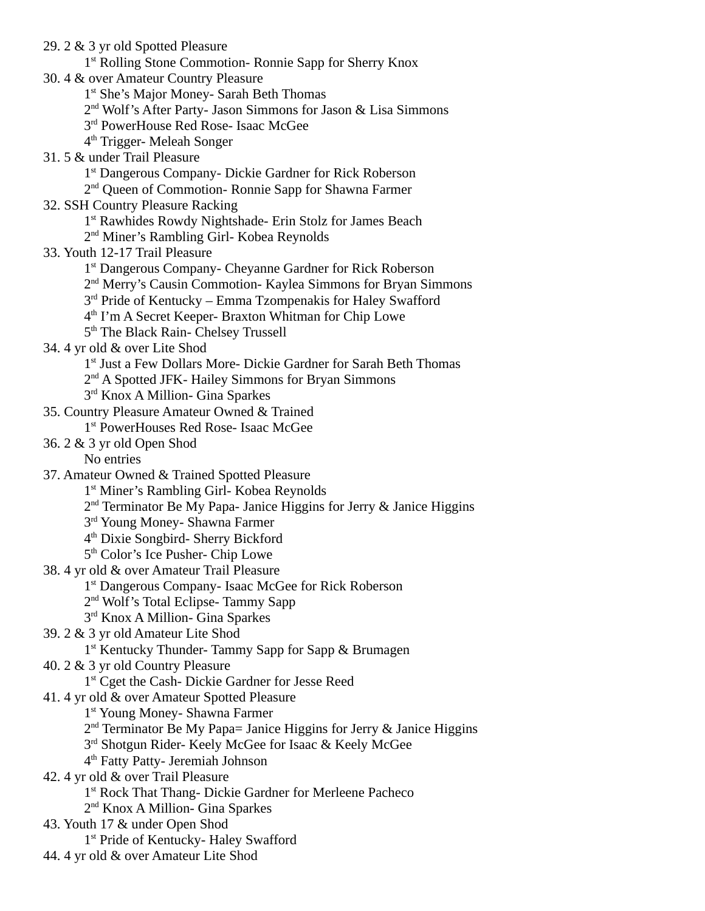29. 2 & 3 yr old Spotted Pleasure 1<sup>st</sup> Rolling Stone Commotion- Ronnie Sapp for Sherry Knox 30. 4 & over Amateur Country Pleasure 1<sup>st</sup> She's Major Money- Sarah Beth Thomas 2<sup>nd</sup> Wolf's After Party- Jason Simmons for Jason & Lisa Simmons 3<sup>rd</sup> PowerHouse Red Rose- Isaac McGee 4 th Trigger- Meleah Songer 31. 5 & under Trail Pleasure 1<sup>st</sup> Dangerous Company- Dickie Gardner for Rick Roberson 2<sup>nd</sup> Queen of Commotion- Ronnie Sapp for Shawna Farmer 32. SSH Country Pleasure Racking 1<sup>st</sup> Rawhides Rowdy Nightshade- Erin Stolz for James Beach 2<sup>nd</sup> Miner's Rambling Girl- Kobea Reynolds 33. Youth 12-17 Trail Pleasure 1<sup>st</sup> Dangerous Company- Cheyanne Gardner for Rick Roberson 2<sup>nd</sup> Merry's Causin Commotion- Kaylea Simmons for Bryan Simmons 3<sup>rd</sup> Pride of Kentucky – Emma Tzompenakis for Haley Swafford 4 th I'm A Secret Keeper- Braxton Whitman for Chip Lowe 5<sup>th</sup> The Black Rain- Chelsey Trussell 34. 4 yr old & over Lite Shod 1<sup>st</sup> Just a Few Dollars More- Dickie Gardner for Sarah Beth Thomas 2<sup>nd</sup> A Spotted JFK- Hailey Simmons for Bryan Simmons 3<sup>rd</sup> Knox A Million- Gina Sparkes 35. Country Pleasure Amateur Owned & Trained 1 st PowerHouses Red Rose- Isaac McGee 36. 2 & 3 yr old Open Shod No entries 37. Amateur Owned & Trained Spotted Pleasure 1<sup>st</sup> Miner's Rambling Girl- Kobea Reynolds 2<sup>nd</sup> Terminator Be My Papa- Janice Higgins for Jerry & Janice Higgins 3<sup>rd</sup> Young Money- Shawna Farmer 4 th Dixie Songbird- Sherry Bickford 5<sup>th</sup> Color's Ice Pusher- Chip Lowe 38. 4 yr old & over Amateur Trail Pleasure 1<sup>st</sup> Dangerous Company- Isaac McGee for Rick Roberson 2<sup>nd</sup> Wolf's Total Eclipse- Tammy Sapp 3<sup>rd</sup> Knox A Million- Gina Sparkes 39. 2 & 3 yr old Amateur Lite Shod 1<sup>st</sup> Kentucky Thunder- Tammy Sapp for Sapp & Brumagen 40. 2 & 3 yr old Country Pleasure 1<sup>st</sup> Cget the Cash- Dickie Gardner for Jesse Reed 41. 4 yr old & over Amateur Spotted Pleasure 1<sup>st</sup> Young Money- Shawna Farmer 2<sup>nd</sup> Terminator Be My Papa= Janice Higgins for Jerry & Janice Higgins 3<sup>rd</sup> Shotgun Rider-Keely McGee for Isaac & Keely McGee 4 th Fatty Patty- Jeremiah Johnson 42. 4 yr old & over Trail Pleasure 1<sup>st</sup> Rock That Thang- Dickie Gardner for Merleene Pacheco 2<sup>nd</sup> Knox A Million- Gina Sparkes 43. Youth 17 & under Open Shod 1<sup>st</sup> Pride of Kentucky- Haley Swafford 44. 4 yr old & over Amateur Lite Shod